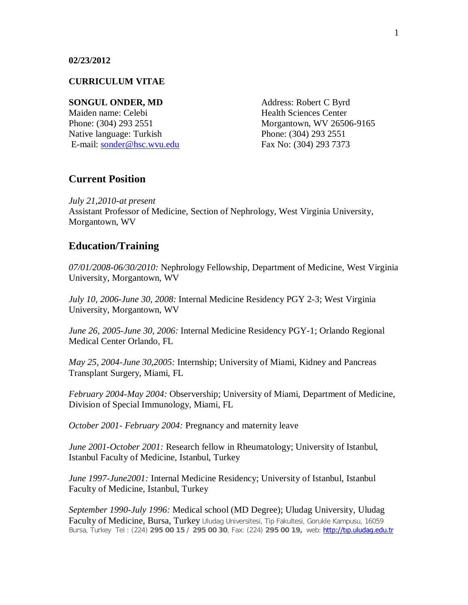#### **CURRICULUM VITAE**

#### **SONGUL ONDER, MD** Address: Robert C Byrd

Maiden name: Celebi **Health** Sciences Center Native language: Turkish Phone: (304) 293 2551 E-mail: sonder@hsc.wvu.edu Fax No: (304) 293 7373

Phone: (304) 293 2551 Morgantown, WV 26506-9165

### **Current Position**

*July 21,2010-at present* Assistant Professor of Medicine, Section of Nephrology, West Virginia University, Morgantown, WV

# **Education/Training**

*07/01/2008-06/30/2010:* Nephrology Fellowship, Department of Medicine, West Virginia University, Morgantown, WV

*July 10, 2006-June 30, 2008:* Internal Medicine Residency PGY 2-3; West Virginia University, Morgantown, WV

*June 26, 2005-June 30, 2006:* Internal Medicine Residency PGY-1; Orlando Regional Medical Center Orlando, FL

*May 25, 2004-June 30,2005:* Internship; University of Miami, Kidney and Pancreas Transplant Surgery, Miami, FL

*February 2004-May 2004:* Observership; University of Miami, Department of Medicine, Division of Special Immunology, Miami, FL

*October 2001- February 2004:* Pregnancy and maternity leave

*June 2001-October 2001:* Research fellow in Rheumatology; University of Istanbul, Istanbul Faculty of Medicine, Istanbul, Turkey

*June 1997-June2001:* Internal Medicine Residency; University of Istanbul, Istanbul Faculty of Medicine, Istanbul, Turkey

*September 1990-July 1996:* Medical school (MD Degree); Uludag University, Uludag Faculty of Medicine, Bursa, Turkey Uludag Universitesi, Tip Fakultesi, Gorukle Kampusu, 16059 Bursa, Turkey Tel : (224) **295 00 15 / 295 00 30**, Fax: (224) **295 00 19,** web: http://tıp.uludag.edu.tr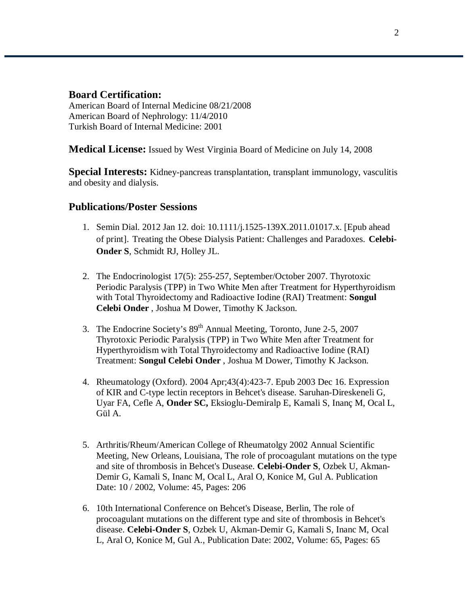### **Board Certification:**

American Board of Internal Medicine 08/21/2008 American Board of Nephrology: 11/4/2010 Turkish Board of Internal Medicine: 2001

**Medical License:** Issued by West Virginia Board of Medicine on July 14, 2008

**Special Interests:** Kidney-pancreas transplantation, transplant immunology, vasculitis and obesity and dialysis.

# **Publications/Poster Sessions**

- 1. Semin Dial. 2012 Jan 12. doi: 10.1111/j.1525-139X.2011.01017.x. [Epub ahead of print]. Treating the Obese Dialysis Patient: Challenges and Paradoxes. **Celebi-Onder S**, Schmidt RJ, Holley JL.
- 2. The Endocrinologist 17(5): 255-257, September/October 2007. Thyrotoxic Periodic Paralysis (TPP) in Two White Men after Treatment for Hyperthyroidism with Total Thyroidectomy and Radioactive Iodine (RAI) Treatment: **Songul Celebi Onder** , Joshua M Dower, Timothy K Jackson.
- 3. The Endocrine Society's  $89<sup>th</sup>$  Annual Meeting, Toronto, June 2-5, 2007 Thyrotoxic Periodic Paralysis (TPP) in Two White Men after Treatment for Hyperthyroidism with Total Thyroidectomy and Radioactive Iodine (RAI) Treatment: **Songul Celebi Onder** , Joshua M Dower, Timothy K Jackson.
- 4. Rheumatology (Oxford). 2004 Apr;43(4):423-7. Epub 2003 Dec 16. Expression of KIR and C-type lectin receptors in Behcet's disease. Saruhan-Direskeneli G, Uyar FA, Cefle A, **Onder SC,** Eksioglu-Demiralp E, Kamali S, Inanç M, Ocal L, Gül A.
- 5. Arthritis/Rheum/American College of Rheumatolgy 2002 Annual Scientific Meeting, New Orleans, Louisiana, The role of procoagulant mutations on the type and site of thrombosis in Behcet's Dusease. **Celebi-Onder S**, Ozbek U, Akman-Demir G, Kamali S, Inanc M, Ocal L, Aral O, Konice M, Gul A. Publication Date: 10 / 2002, Volume: 45, Pages: 206
- 6. 10th International Conference on Behcet's Disease, Berlin, The role of procoagulant mutations on the different type and site of thrombosis in Behcet's disease. **Celebi-Onder S**, Ozbek U, Akman-Demir G, Kamali S, Inanc M, Ocal L, Aral O, Konice M, Gul A., Publication Date: 2002, Volume: 65, Pages: 65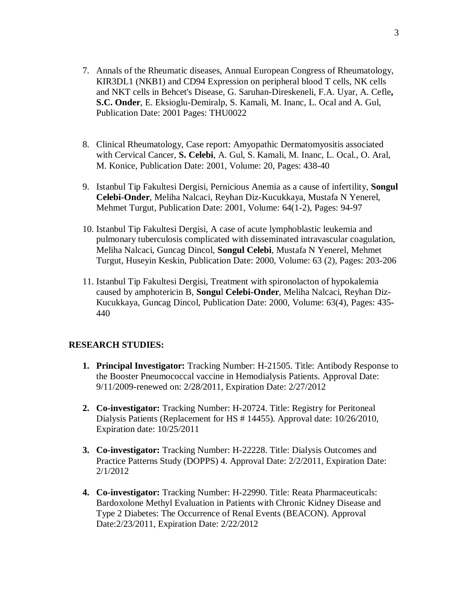- 7. Annals of the Rheumatic diseases, Annual European Congress of Rheumatology, KIR3DL1 (NKB1) and CD94 Expression on peripheral blood T cells, NK cells and NKT cells in Behcet's Disease, G. Saruhan-Direskeneli, F.A. Uyar, A. Cefle**, S.C. Onder**, E. Eksioglu-Demiralp, S. Kamali, M. Inanc, L. Ocal and A. Gul, Publication Date: 2001 Pages: THU0022
- 8. Clinical Rheumatology, Case report: Amyopathic Dermatomyositis associated with Cervical Cancer, **S. Celebi**, A. Gul, S. Kamali, M. Inanc, L. Ocal., O. Aral, M. Konice, Publication Date: 2001, Volume: 20, Pages: 438-40
- 9. Istanbul Tip Fakultesi Dergisi, Pernicious Anemia as a cause of infertility, **Songul Celebi-Onder**, Meliha Nalcaci, Reyhan Diz-Kucukkaya, Mustafa N Yenerel, Mehmet Turgut, Publication Date: 2001, Volume: 64(1-2), Pages: 94-97
- 10. Istanbul Tip Fakultesi Dergisi, A case of acute lymphoblastic leukemia and pulmonary tuberculosis complicated with disseminated intravascular coagulation, Meliha Nalcaci, Guncag Dincol, **Songul Celebi**, Mustafa N Yenerel, Mehmet Turgut, Huseyin Keskin, Publication Date: 2000, Volume: 63 (2), Pages: 203-206
- 11. Istanbul Tip Fakultesi Dergisi, Treatment with spironolacton of hypokalemia caused by amphotericin B, **Songu**l **Celebi-Onder**, Meliha Nalcaci, Reyhan Diz-Kucukkaya, Guncag Dincol, Publication Date: 2000, Volume: 63(4), Pages: 435- 440

#### **RESEARCH STUDIES:**

- **1. Principal Investigator:** Tracking Number: H-21505. Title: Antibody Response to the Booster Pneumococcal vaccine in Hemodialysis Patients. Approval Date: 9/11/2009-renewed on: 2/28/2011, Expiration Date: 2/27/2012
- **2. Co-investigator:** Tracking Number: H-20724. Title: Registry for Peritoneal Dialysis Patients (Replacement for HS # 14455). Approval date: 10/26/2010, Expiration date: 10/25/2011
- **3. Co-investigator:** Tracking Number: H-22228. Title: Dialysis Outcomes and Practice Patterns Study (DOPPS) 4. Approval Date: 2/2/2011, Expiration Date: 2/1/2012
- **4. Co-investigator:** Tracking Number: H-22990. Title: Reata Pharmaceuticals: Bardoxolone Methyl Evaluation in Patients with Chronic Kidney Disease and Type 2 Diabetes: The Occurrence of Renal Events (BEACON). Approval Date:2/23/2011, Expiration Date: 2/22/2012